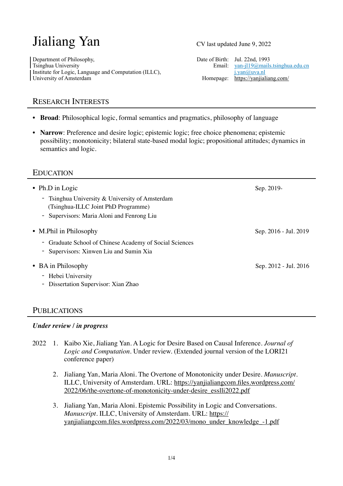# Jialiang Yan

Department of Philosophy,<br>
Tsinghua University<br>
Tsinghua University<br>
Date of Birth: Jul. 22nd, 1993<br>
Email: yan-jl19@mails Institute for Logic, Language and Computation (ILLC), j.yan (a) uva.nl University of Amsterdam Homepage: https://yanjialiang.com/

CV last updated June 9, 2022

Email: [yan-jl19@mails.tsinghua.edu.cn](mailto:yan-jl19@mails.tsinghua.edu.cn)

# RESEARCH INTERESTS

- **Broad**: Philosophical logic, formal semantics and pragmatics, philosophy of language
- **Narrow**: Preference and desire logic; epistemic logic; free choice phenomena; epistemic possibility; monotonicity; bilateral state-based modal logic; propositional attitudes; dynamics in semantics and logic.

## **EDUCATION**

| • Ph.D in Logic                                                                   | Sep. 2019-            |
|-----------------------------------------------------------------------------------|-----------------------|
| - Tsinghua University $\&$ University of Amsterdam                                |                       |
| (Tsinghua-ILLC Joint PhD Programme)<br>- Supervisors: Maria Aloni and Fenrong Liu |                       |
|                                                                                   |                       |
| • M.Phil in Philosophy                                                            | Sep. 2016 - Jul. 2019 |
| Graduate School of Chinese Academy of Social Sciences                             |                       |
| Supervisors: Xinwen Liu and Sumin Xia                                             |                       |
| • BA in Philosophy                                                                | Sep. 2012 - Jul. 2016 |
| Hebei University                                                                  |                       |
| Dissertation Supervisor: Xian Zhao                                                |                       |
|                                                                                   |                       |

## **PUBLICATIONS**

### *Under review / in progress*

- 2022 1. Kaibo Xie, Jialiang Yan. A Logic for Desire Based on Causal Inference. *Journal of Logic and Computation.* Under review. (Extended journal version of the LORI21 conference paper)
	- 2. Jialiang Yan, Maria Aloni. The Overtone of Monotonicity under Desire. *Manuscript*. [ILLC, University of Amsterdam. URL: https://yanjialiangcom.files.wordpress.com/](https://yanjialiangcom.files.wordpress.com/2022/06/the-overtone-of-monotonicity-under-desire_esslli2022.pdf) [2022/06/the-overtone-of-monotonicity-under-desire\\_esslli2022.pdf](https://yanjialiangcom.files.wordpress.com/2022/06/the-overtone-of-monotonicity-under-desire_esslli2022.pdf)
	- 3. Jialiang Yan, Maria Aloni. Epistemic Possibility in Logic and Conversations. *Manuscript.* ILLC, University of Amsterdam. URL: [https://](https://yanjialiangcom.files.wordpress.com/2022/03/mono_under_knowledge_-1.pdf) [yanjialiangcom.files.wordpress.com/2022/03/mono\\_under\\_knowledge\\_-1.pdf](https://yanjialiangcom.files.wordpress.com/2022/03/mono_under_knowledge_-1.pdf)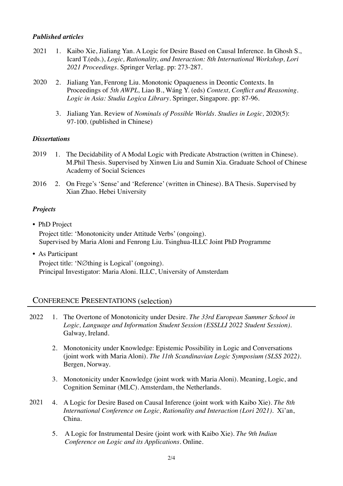### *Published articles*

- 1. Kaibo Xie, Jialiang Yan. A Logic for Desire Based on Causal Inference. In Ghosh S., Icard T.(eds.), *Logic, Rationality, and Interaction: 8th International Workshop, Lori 2021 Proceedings.* Springer Verlag. pp: 273-287. 2021
- 20202. Jialiang Yan, Fenrong Liu. Monotonic Opaqueness in Deontic Contexts. In Proceedings of *5th AWPL,* Liao B., Wáng Y. (eds) *Context, Conflict and Reasoning. Logic in Asia: Studia Logica Library*. Springer, Singapore. pp: 87-96.
	- 3. Jialiang Yan. Review of *Nominals of Possible Worlds*. *Studies in Logic,* 2020(5): 97-100. (published in Chinese)

#### *Dissertations*

- 2019 1. The Decidability of A Modal Logic with Predicate Abstraction (written in Chinese). M.Phil Thesis. Supervised by Xinwen Liu and Sumin Xia. Graduate School of Chinese Academy of Social Sciences
- 2016 2. On Frege's 'Sense' and 'Reference' (written in Chinese). BA Thesis. Supervised by Xian Zhao. Hebei University

### *Projects*

- PhD Project Project title: 'Monotonicity under Attitude Verbs' (ongoing). Supervised by Maria Aloni and Fenrong Liu. Tsinghua-ILLC Joint PhD Programme
- As Participant Project title: 'N∅thing is Logical' (ongoing). Principal Investigator: Maria Aloni. ILLC, University of Amsterdam

## CONFERENCE PRESENTATIONS (selection)

- 1. The Overtone of Monotonicity under Desire. *The 33rd European Summer School in Logic, Language and Information Student Session (ESSLLI 2022 Student Session).*  Galway, Ireland. 2022
	- 2. Monotonicity under Knowledge: Epistemic Possibility in Logic and Conversations (joint work with Maria Aloni). *The 11th Scandinavian Logic Symposium (SLSS 2022).*  Bergen, Norway.
	- 3. Monotonicity under Knowledge (joint work with Maria Aloni). Meaning, Logic, and Cognition Seminar (MLC). Amsterdam, the Netherlands.
- 4. A Logic for Desire Based on Causal Inference (joint work with Kaibo Xie). *The 8th International Conference on Logic, Rationality and Interaction (Lori 2021).* Xi'an, China. 2021
	- 5. A Logic for Instrumental Desire (joint work with Kaibo Xie). *The 9th Indian Conference on Logic and its Applications.* Online.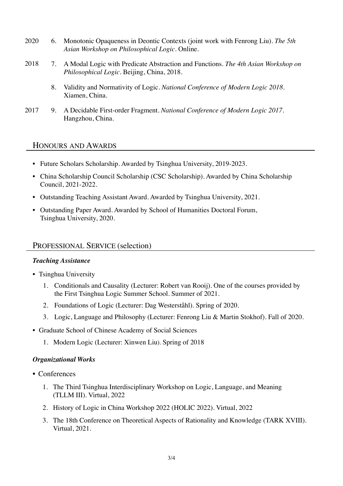- 2020 6. Monotonic Opaqueness in Deontic Contexts (joint work with Fenrong Liu). *The 5th Asian Workshop on Philosophical Logic*. Online.
- 2018 7. A Modal Logic with Predicate Abstraction and Functions. *The 4th Asian Workshop on Philosophical Logic*. Beijing, China, 2018.
	- 8. Validity and Normativity of Logic. *National Conference of Modern Logic 2018*. Xiamen, China.
- 2017 9. A Decidable First-order Fragment. *National Conference of Modern Logic 2017*. Hangzhou, China.

### HONOURS AND AWARDS

- Future Scholars Scholarship. Awarded by Tsinghua University, 2019-2023.
- China Scholarship Council Scholarship (CSC Scholarship). Awarded by China Scholarship Council, 2021-2022.
- Outstanding Teaching Assistant Award. Awarded by Tsinghua University, 2021.
- Outstanding Paper Award. Awarded by School of Humanities Doctoral Forum, Tsinghua University, 2020.

### PROFESSIONAL SERVICE (selection)

#### *Teaching Assistance*

- Tsinghua University
	- 1. Conditionals and Causality (Lecturer: Robert van Rooij). One of the courses provided by the First Tsinghua Logic Summer School. Summer of 2021.
	- 2. Foundations of Logic (Lecturer: Dag Westerståhl). Spring of 2020.
	- 3. Logic, Language and Philosophy (Lecturer: Fenrong Liu & Martin Stokhof). Fall of 2020.
- Graduate School of Chinese Academy of Social Sciences
	- 1. Modern Logic (Lecturer: Xinwen Liu). Spring of 2018

#### *Organizational Works*

- Conferences
	- 1. The Third Tsinghua Interdisciplinary Workshop on Logic, Language, and Meaning (TLLM III). Virtual, 2022
	- 2. History of Logic in China Workshop 2022 (HOLIC 2022). Virtual, 2022
	- 3. The 18th Conference on Theoretical Aspects of Rationality and Knowledge (TARK XVIII). Virtual, 2021.